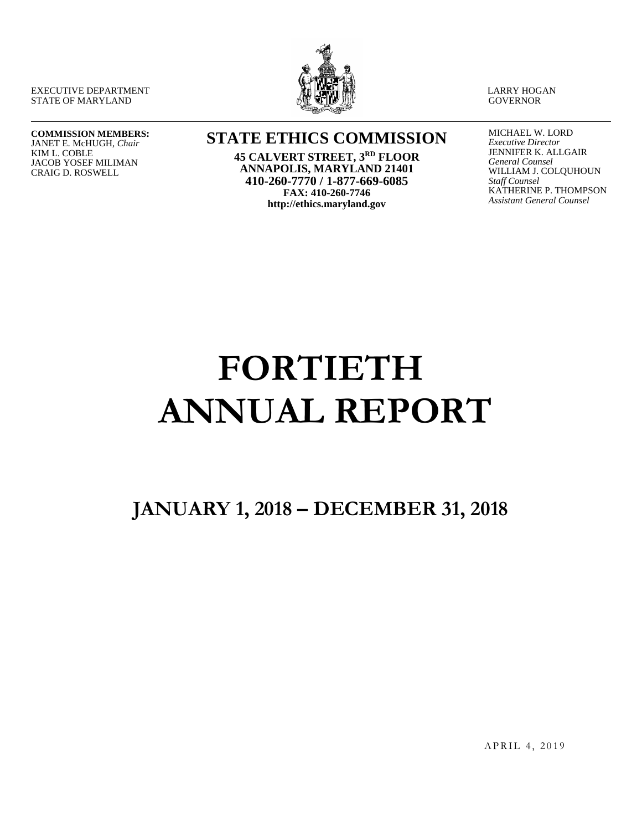EXECUTIVE DEPARTMENT STATE OF MARYLAND



LARRY HOGAN **GOVERNOR** 

#### **COMMISSION MEMBERS:** JANET E. McHUGH, *Chair*

KIM L. COBLE JACOB YOSEF MILIMAN CRAIG D. ROSWELL

# **STATE ETHICS COMMISSION**

**45 CALVERT STREET, 3RD FLOOR ANNAPOLIS, MARYLAND 21401 410-260-7770 / 1-877-669-6085 FAX: 410-260-7746 http://ethics.maryland.gov**

MICHAEL W. LORD *Executive Director* JENNIFER K. ALLGAIR *General Counsel* WILLIAM J. COLQUHOUN *Staff Counsel* KATHERINE P. THOMPSON *Assistant General Counsel*

# **FORTIETH ANNUAL REPORT**

# **JANUARY 1, 2018 – DECEMBER 31, 2018**

APRIL 4, 2019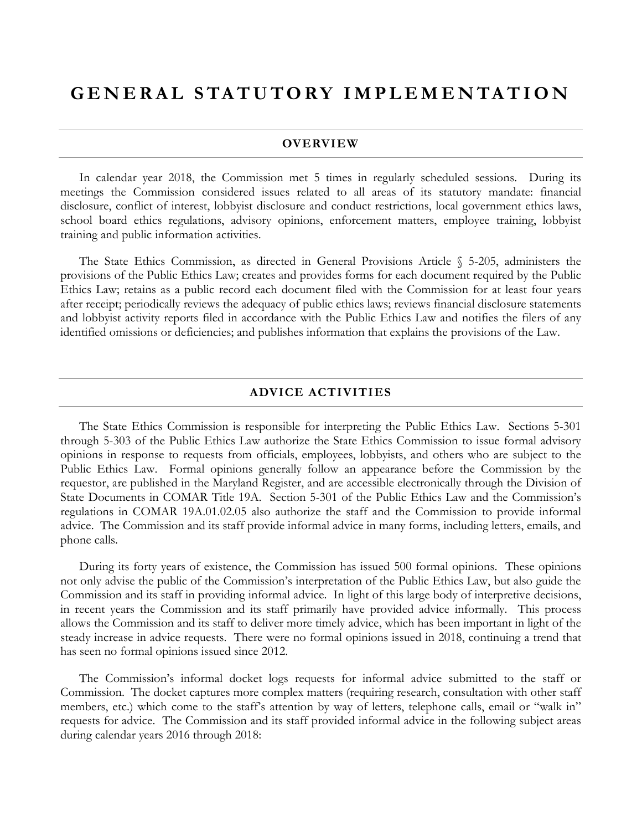# **GENERAL STATUTORY IM PLEMENTATION**

#### **OVERVIEW**

In calendar year 2018, the Commission met 5 times in regularly scheduled sessions. During its meetings the Commission considered issues related to all areas of its statutory mandate: financial disclosure, conflict of interest, lobbyist disclosure and conduct restrictions, local government ethics laws, school board ethics regulations, advisory opinions, enforcement matters, employee training, lobbyist training and public information activities.

The State Ethics Commission, as directed in General Provisions Article § 5-205, administers the provisions of the Public Ethics Law; creates and provides forms for each document required by the Public Ethics Law; retains as a public record each document filed with the Commission for at least four years after receipt; periodically reviews the adequacy of public ethics laws; reviews financial disclosure statements and lobbyist activity reports filed in accordance with the Public Ethics Law and notifies the filers of any identified omissions or deficiencies; and publishes information that explains the provisions of the Law.

#### **ADVICE ACTIVITIES**

The State Ethics Commission is responsible for interpreting the Public Ethics Law. Sections 5-301 through 5-303 of the Public Ethics Law authorize the State Ethics Commission to issue formal advisory opinions in response to requests from officials, employees, lobbyists, and others who are subject to the Public Ethics Law. Formal opinions generally follow an appearance before the Commission by the requestor, are published in the Maryland Register, and are accessible electronically through the Division of State Documents in COMAR Title 19A. Section 5-301 of the Public Ethics Law and the Commission's regulations in COMAR 19A.01.02.05 also authorize the staff and the Commission to provide informal advice. The Commission and its staff provide informal advice in many forms, including letters, emails, and phone calls.

During its forty years of existence, the Commission has issued 500 formal opinions. These opinions not only advise the public of the Commission's interpretation of the Public Ethics Law, but also guide the Commission and its staff in providing informal advice. In light of this large body of interpretive decisions, in recent years the Commission and its staff primarily have provided advice informally. This process allows the Commission and its staff to deliver more timely advice, which has been important in light of the steady increase in advice requests. There were no formal opinions issued in 2018, continuing a trend that has seen no formal opinions issued since 2012.

The Commission's informal docket logs requests for informal advice submitted to the staff or Commission. The docket captures more complex matters (requiring research, consultation with other staff members, etc.) which come to the staff's attention by way of letters, telephone calls, email or "walk in" requests for advice. The Commission and its staff provided informal advice in the following subject areas during calendar years 2016 through 2018: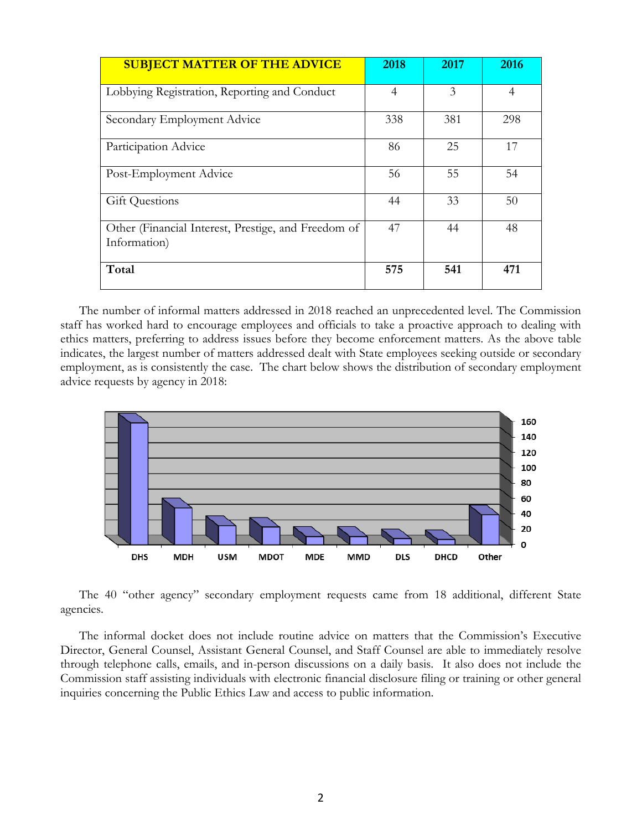| <b>SUBJECT MATTER OF THE ADVICE</b>                                 | 2018 | 2017 | 2016           |
|---------------------------------------------------------------------|------|------|----------------|
| Lobbying Registration, Reporting and Conduct                        | 4    | 3    | $\overline{4}$ |
| Secondary Employment Advice                                         | 338  | 381  | 298            |
| Participation Advice                                                | 86   | 25   | 17             |
| Post-Employment Advice                                              | 56   | 55   | 54             |
| <b>Gift Questions</b>                                               | 44   | 33   | 50             |
| Other (Financial Interest, Prestige, and Freedom of<br>Information) | 47   | 44   | 48             |
| Total                                                               | 575  | 541  | 471            |

The number of informal matters addressed in 2018 reached an unprecedented level. The Commission staff has worked hard to encourage employees and officials to take a proactive approach to dealing with ethics matters, preferring to address issues before they become enforcement matters. As the above table indicates, the largest number of matters addressed dealt with State employees seeking outside or secondary employment, as is consistently the case. The chart below shows the distribution of secondary employment advice requests by agency in 2018:



The 40 "other agency" secondary employment requests came from 18 additional, different State agencies.

The informal docket does not include routine advice on matters that the Commission's Executive Director, General Counsel, Assistant General Counsel, and Staff Counsel are able to immediately resolve through telephone calls, emails, and in-person discussions on a daily basis. It also does not include the Commission staff assisting individuals with electronic financial disclosure filing or training or other general inquiries concerning the Public Ethics Law and access to public information.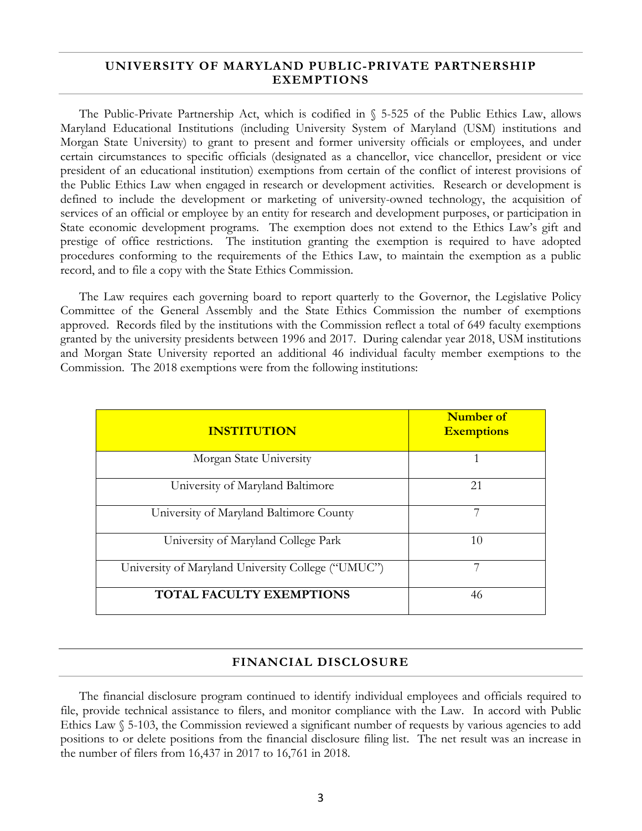### **UNIVERSITY OF MARYLAND PUBLIC-PRIVATE PARTNERSHIP EXEMPTIONS**

The Public-Private Partnership Act, which is codified in § 5-525 of the Public Ethics Law, allows Maryland Educational Institutions (including University System of Maryland (USM) institutions and Morgan State University) to grant to present and former university officials or employees, and under certain circumstances to specific officials (designated as a chancellor, vice chancellor, president or vice president of an educational institution) exemptions from certain of the conflict of interest provisions of the Public Ethics Law when engaged in research or development activities. Research or development is defined to include the development or marketing of university-owned technology, the acquisition of services of an official or employee by an entity for research and development purposes, or participation in State economic development programs. The exemption does not extend to the Ethics Law's gift and prestige of office restrictions. The institution granting the exemption is required to have adopted procedures conforming to the requirements of the Ethics Law, to maintain the exemption as a public record, and to file a copy with the State Ethics Commission.

The Law requires each governing board to report quarterly to the Governor, the Legislative Policy Committee of the General Assembly and the State Ethics Commission the number of exemptions approved. Records filed by the institutions with the Commission reflect a total of 649 faculty exemptions granted by the university presidents between 1996 and 2017. During calendar year 2018, USM institutions and Morgan State University reported an additional 46 individual faculty member exemptions to the Commission. The 2018 exemptions were from the following institutions:

| <b>INSTITUTION</b>                                 | Number of<br><b>Exemptions</b> |
|----------------------------------------------------|--------------------------------|
| Morgan State University                            |                                |
| University of Maryland Baltimore                   | 21                             |
| University of Maryland Baltimore County            |                                |
| University of Maryland College Park                | 10                             |
| University of Maryland University College ("UMUC") |                                |
| <b>TOTAL FACULTY EXEMPTIONS</b>                    | 46                             |

### **FINANCIAL DISCLOSURE**

The financial disclosure program continued to identify individual employees and officials required to file, provide technical assistance to filers, and monitor compliance with the Law. In accord with Public Ethics Law § 5-103, the Commission reviewed a significant number of requests by various agencies to add positions to or delete positions from the financial disclosure filing list. The net result was an increase in the number of filers from 16,437 in 2017 to 16,761 in 2018.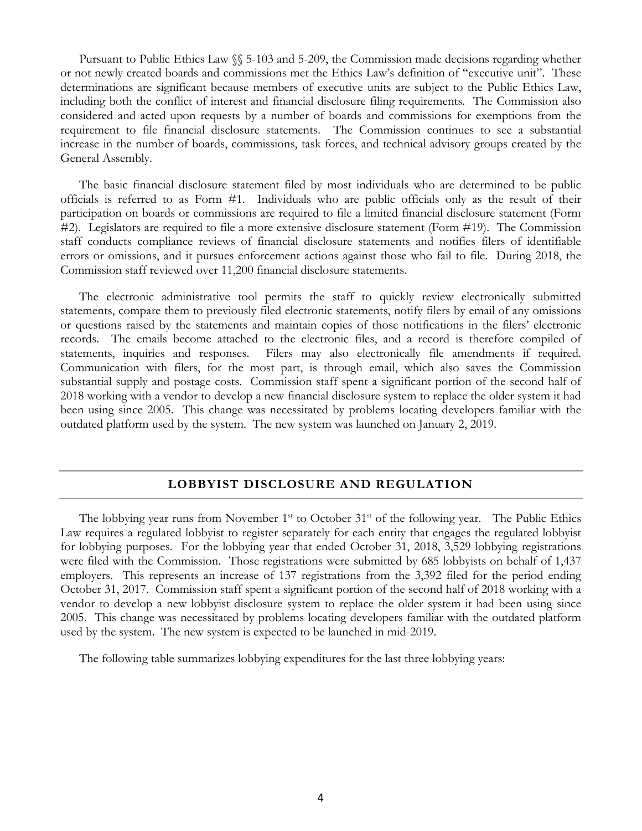Pursuant to Public Ethics Law §§ 5-103 and 5-209, the Commission made decisions regarding whether or not newly created boards and commissions met the Ethics Law's definition of "executive unit". These determinations are significant because members of executive units are subject to the Public Ethics Law, including both the conflict of interest and financial disclosure filing requirements. The Commission also considered and acted upon requests by a number of boards and commissions for exemptions from the requirement to file financial disclosure statements. The Commission continues to see a substantial increase in the number of boards, commissions, task forces, and technical advisory groups created by the General Assembly.

The basic financial disclosure statement filed by most individuals who are determined to be public officials is referred to as Form #1. Individuals who are public officials only as the result of their participation on boards or commissions are required to file a limited financial disclosure statement (Form #2). Legislators are required to file a more extensive disclosure statement (Form #19). The Commission staff conducts compliance reviews of financial disclosure statements and notifies filers of identifiable errors or omissions, and it pursues enforcement actions against those who fail to file. During 2018, the Commission staff reviewed over 11,200 financial disclosure statements.

The electronic administrative tool permits the staff to quickly review electronically submitted statements, compare them to previously filed electronic statements, notify filers by email of any omissions or questions raised by the statements and maintain copies of those notifications in the filers' electronic records. The emails become attached to the electronic files, and a record is therefore compiled of statements, inquiries and responses. Filers may also electronically file amendments if required. Communication with filers, for the most part, is through email, which also saves the Commission substantial supply and postage costs. Commission staff spent a significant portion of the second half of 2018 working with a vendor to develop a new financial disclosure system to replace the older system it had been using since 2005. This change was necessitated by problems locating developers familiar with the outdated platform used by the system. The new system was launched on January 2, 2019.

### **LOBBYIST DISCLOSURE AND REGULATION**

The lobbying year runs from November  $1<sup>st</sup>$  to October  $31<sup>st</sup>$  of the following year. The Public Ethics Law requires a regulated lobbyist to register separately for each entity that engages the regulated lobbyist for lobbying purposes. For the lobbying year that ended October 31, 2018, 3,529 lobbying registrations were filed with the Commission. Those registrations were submitted by 685 lobbyists on behalf of 1,437 employers. This represents an increase of 137 registrations from the 3,392 filed for the period ending October 31, 2017. Commission staff spent a significant portion of the second half of 2018 working with a vendor to develop a new lobbyist disclosure system to replace the older system it had been using since 2005. This change was necessitated by problems locating developers familiar with the outdated platform used by the system. The new system is expected to be launched in mid-2019.

The following table summarizes lobbying expenditures for the last three lobbying years: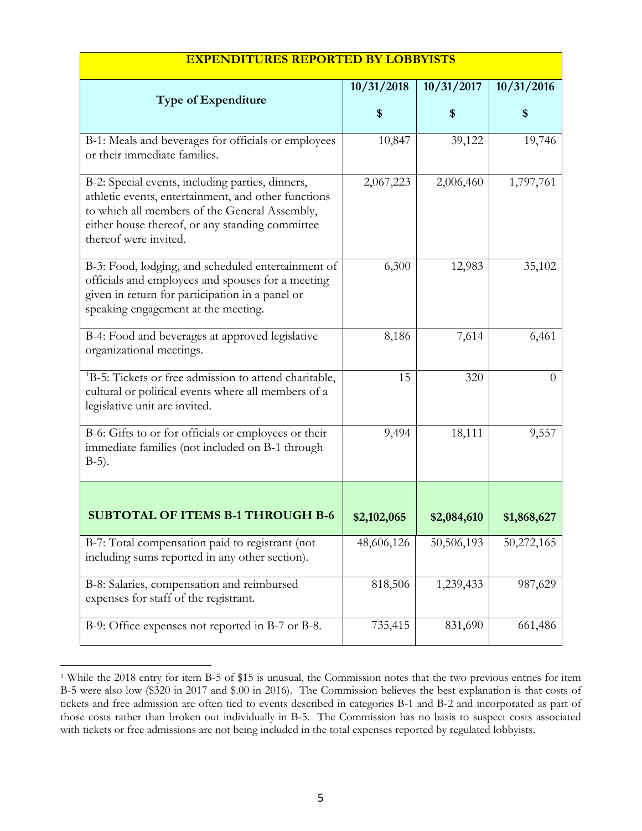| <b>Type of Expenditure</b>                                                                                                                                                                                                           | 10/31/2018 | 10/31/2017 | 10/31/2016     |
|--------------------------------------------------------------------------------------------------------------------------------------------------------------------------------------------------------------------------------------|------------|------------|----------------|
|                                                                                                                                                                                                                                      | \$         | \$         | \$             |
| B-1: Meals and beverages for officials or employees<br>or their immediate families.                                                                                                                                                  | 10,847     | 39,122     | 19,746         |
| B-2: Special events, including parties, dinners,<br>athletic events, entertainment, and other functions<br>to which all members of the General Assembly,<br>either house thereof, or any standing committee<br>thereof were invited. | 2,067,223  | 2,006,460  | 1,797,761      |
| B-3: Food, lodging, and scheduled entertainment of<br>officials and employees and spouses for a meeting<br>given in return for participation in a panel or<br>speaking engagement at the meeting.                                    | 6,300      | 12,983     | 35,102         |
| B-4: Food and beverages at approved legislative<br>organizational meetings.                                                                                                                                                          | 8,186      | 7,614      | 6,461          |
| <sup>1</sup> B-5: Tickets or free admission to attend charitable,<br>cultural or political events where all members of a<br>legislative unit are invited.                                                                            | 15         | 320        | $\overline{0}$ |
| B-6: Gifts to or for officials or employees or their<br>immediate families (not included on B-1 through                                                                                                                              | 9,494      | 18,111     | 9,557          |

B-5).

B-7: Total compensation paid to registrant (not including sums reported in any other section).

B-8: Salaries, compensation and reimbursed

expenses for staff of the registrant.

### **EXPENDITURES REPORTED BY LOBBYISTS**

B-9: Office expenses not reported in B-7 or B-8. [735,415 | 831,690 661,486

**SUBTOTAL OF ITEMS B-1 THROUGH B-6** | \$2,102,065 | \$2,084,610 | \$1,868,627

48,606,126 | 50,506,193 | 50,272,165

818,506 1,239,433 987,629

<span id="page-5-0"></span> <sup>1</sup> While the 2018 entry for item B-5 of \$15 is unusual, the Commission notes that the two previous entries for item B-5 were also low (\$320 in 2017 and \$.00 in 2016). The Commission believes the best explanation is that costs of tickets and free admission are often tied to events described in categories B-1 and B-2 and incorporated as part of those costs rather than broken out individually in B-5. The Commission has no basis to suspect costs associated with tickets or free admissions are not being included in the total expenses reported by regulated lobbyists.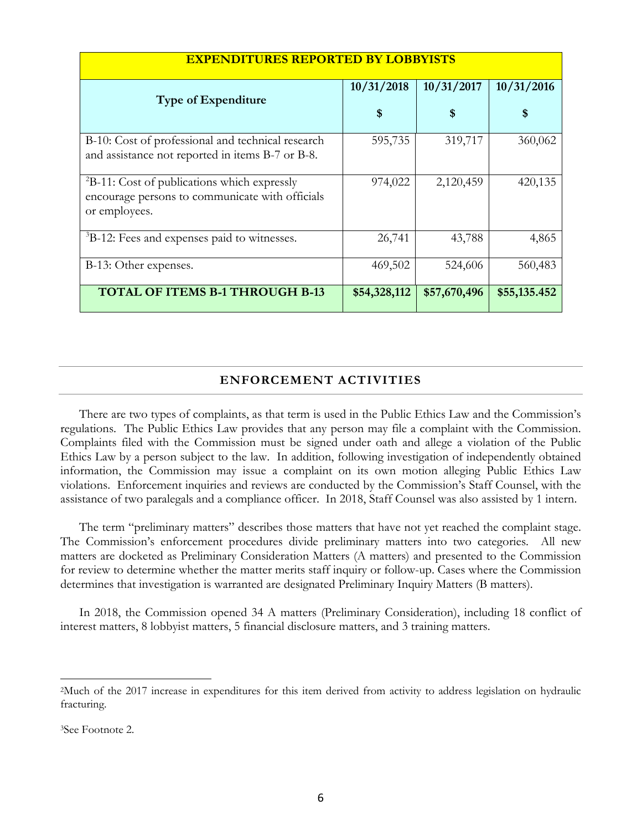| <b>EXPENDITURES REPORTED BY LOBBYISTS</b>                                                                               |              |              |              |
|-------------------------------------------------------------------------------------------------------------------------|--------------|--------------|--------------|
| <b>Type of Expenditure</b>                                                                                              | 10/31/2018   | 10/31/2017   | 10/31/2016   |
|                                                                                                                         | \$           | \$           | S            |
| B-10: Cost of professional and technical research<br>and assistance not reported in items B-7 or B-8.                   | 595,735      | 319,717      | 360,062      |
| ${}^{2}B-11$ : Cost of publications which expressly<br>encourage persons to communicate with officials<br>or employees. | 974,022      | 2,120,459    | 420,135      |
| <sup>3</sup> B-12: Fees and expenses paid to witnesses.                                                                 | 26,741       | 43,788       | 4,865        |
| B-13: Other expenses.                                                                                                   | 469,502      | 524,606      | 560,483      |
| <b>TOTAL OF ITEMS B-1 THROUGH B-13</b>                                                                                  | \$54,328,112 | \$57,670,496 | \$55,135.452 |

# **ENFORCEMENT ACTIVITIES**

There are two types of complaints, as that term is used in the Public Ethics Law and the Commission's regulations. The Public Ethics Law provides that any person may file a complaint with the Commission. Complaints filed with the Commission must be signed under oath and allege a violation of the Public Ethics Law by a person subject to the law. In addition, following investigation of independently obtained information, the Commission may issue a complaint on its own motion alleging Public Ethics Law violations. Enforcement inquiries and reviews are conducted by the Commission's Staff Counsel, with the assistance of two paralegals and a compliance officer. In 2018, Staff Counsel was also assisted by 1 intern.

The term "preliminary matters" describes those matters that have not yet reached the complaint stage. The Commission's enforcement procedures divide preliminary matters into two categories. All new matters are docketed as Preliminary Consideration Matters (A matters) and presented to the Commission for review to determine whether the matter merits staff inquiry or follow-up. Cases where the Commission determines that investigation is warranted are designated Preliminary Inquiry Matters (B matters).

In 2018, the Commission opened 34 A matters (Preliminary Consideration), including 18 conflict of interest matters, 8 lobbyist matters, 5 financial disclosure matters, and 3 training matters.

<span id="page-6-0"></span> <sup>2</sup>Much of the 2017 increase in expenditures for this item derived from activity to address legislation on hydraulic fracturing.

<span id="page-6-1"></span><sup>3</sup>See Footnote 2.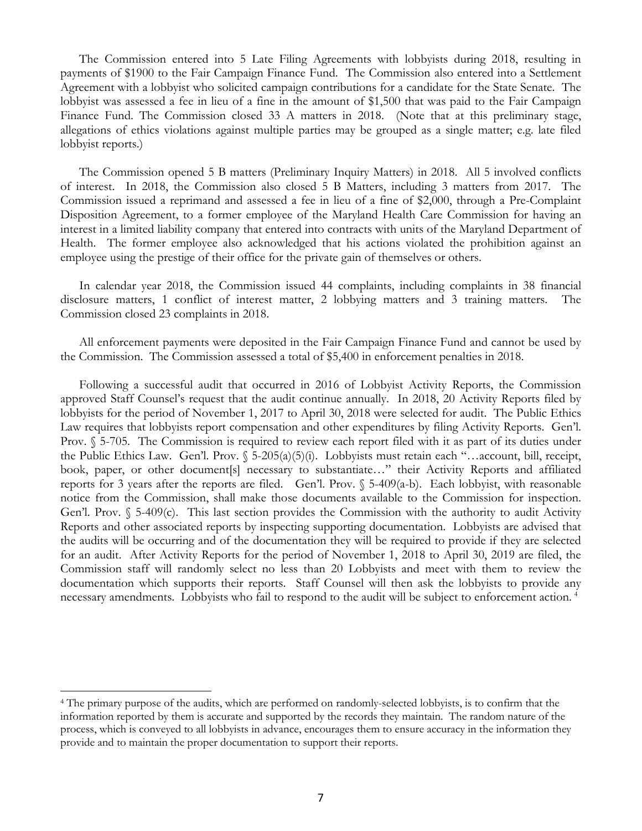The Commission entered into 5 Late Filing Agreements with lobbyists during 2018, resulting in payments of \$1900 to the Fair Campaign Finance Fund. The Commission also entered into a Settlement Agreement with a lobbyist who solicited campaign contributions for a candidate for the State Senate. The lobbyist was assessed a fee in lieu of a fine in the amount of \$1,500 that was paid to the Fair Campaign Finance Fund. The Commission closed 33 A matters in 2018. (Note that at this preliminary stage, allegations of ethics violations against multiple parties may be grouped as a single matter; e.g. late filed lobbyist reports.)

The Commission opened 5 B matters (Preliminary Inquiry Matters) in 2018. All 5 involved conflicts of interest. In 2018, the Commission also closed 5 B Matters, including 3 matters from 2017. The Commission issued a reprimand and assessed a fee in lieu of a fine of \$2,000, through a Pre-Complaint Disposition Agreement, to a former employee of the Maryland Health Care Commission for having an interest in a limited liability company that entered into contracts with units of the Maryland Department of Health. The former employee also acknowledged that his actions violated the prohibition against an employee using the prestige of their office for the private gain of themselves or others.

In calendar year 2018, the Commission issued 44 complaints, including complaints in 38 financial disclosure matters, 1 conflict of interest matter, 2 lobbying matters and 3 training matters. The Commission closed 23 complaints in 2018.

All enforcement payments were deposited in the Fair Campaign Finance Fund and cannot be used by the Commission. The Commission assessed a total of \$5,400 in enforcement penalties in 2018.

Following a successful audit that occurred in 2016 of Lobbyist Activity Reports, the Commission approved Staff Counsel's request that the audit continue annually. In 2018, 20 Activity Reports filed by lobbyists for the period of November 1, 2017 to April 30, 2018 were selected for audit. The Public Ethics Law requires that lobbyists report compensation and other expenditures by filing Activity Reports. Gen'l. Prov. § 5-705. The Commission is required to review each report filed with it as part of its duties under the Public Ethics Law. Gen'l. Prov. § 5-205(a)(5)(i). Lobbyists must retain each "…account, bill, receipt, book, paper, or other document[s] necessary to substantiate..." their Activity Reports and affiliated reports for 3 years after the reports are filed. Gen'l. Prov.  $\sqrt{5}$ -409(a-b). Each lobbyist, with reasonable notice from the Commission, shall make those documents available to the Commission for inspection. Gen'l. Prov. § 5-409(c). This last section provides the Commission with the authority to audit Activity Reports and other associated reports by inspecting supporting documentation. Lobbyists are advised that the audits will be occurring and of the documentation they will be required to provide if they are selected for an audit. After Activity Reports for the period of November 1, 2018 to April 30, 2019 are filed, the Commission staff will randomly select no less than 20 Lobbyists and meet with them to review the documentation which supports their reports. Staff Counsel will then ask the lobbyists to provide any necessary amendments. Lobbyists who fail to respond to the audit will be subject to enforcement action. [4](#page-7-0)

<span id="page-7-0"></span> <sup>4</sup> The primary purpose of the audits, which are performed on randomly-selected lobbyists, is to confirm that the information reported by them is accurate and supported by the records they maintain. The random nature of the process, which is conveyed to all lobbyists in advance, encourages them to ensure accuracy in the information they provide and to maintain the proper documentation to support their reports.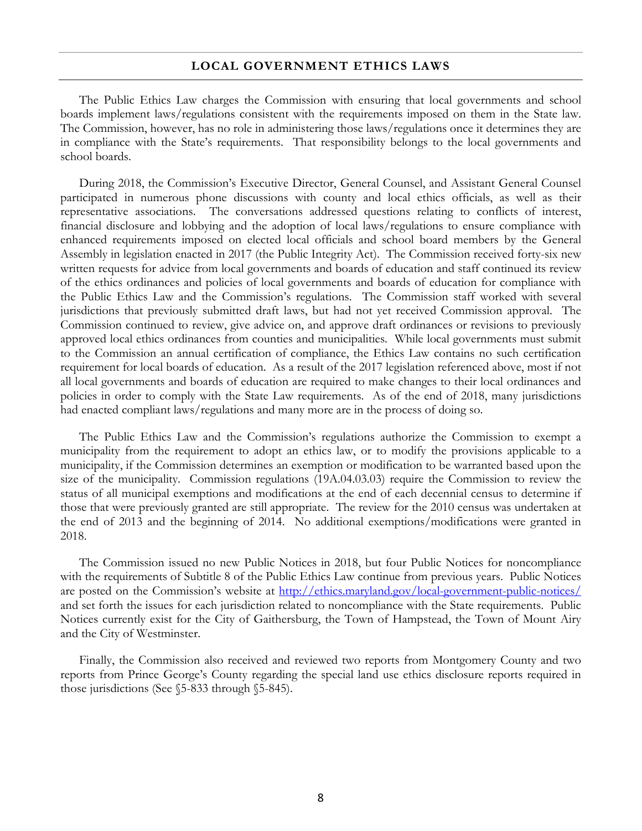#### **LOCAL GOVERNMENT ETHICS LAWS**

The Public Ethics Law charges the Commission with ensuring that local governments and school boards implement laws/regulations consistent with the requirements imposed on them in the State law. The Commission, however, has no role in administering those laws/regulations once it determines they are in compliance with the State's requirements. That responsibility belongs to the local governments and school boards.

During 2018, the Commission's Executive Director, General Counsel, and Assistant General Counsel participated in numerous phone discussions with county and local ethics officials, as well as their representative associations. The conversations addressed questions relating to conflicts of interest, financial disclosure and lobbying and the adoption of local laws/regulations to ensure compliance with enhanced requirements imposed on elected local officials and school board members by the General Assembly in legislation enacted in 2017 (the Public Integrity Act). The Commission received forty-six new written requests for advice from local governments and boards of education and staff continued its review of the ethics ordinances and policies of local governments and boards of education for compliance with the Public Ethics Law and the Commission's regulations. The Commission staff worked with several jurisdictions that previously submitted draft laws, but had not yet received Commission approval. The Commission continued to review, give advice on, and approve draft ordinances or revisions to previously approved local ethics ordinances from counties and municipalities. While local governments must submit to the Commission an annual certification of compliance, the Ethics Law contains no such certification requirement for local boards of education. As a result of the 2017 legislation referenced above, most if not all local governments and boards of education are required to make changes to their local ordinances and policies in order to comply with the State Law requirements. As of the end of 2018, many jurisdictions had enacted compliant laws/regulations and many more are in the process of doing so.

The Public Ethics Law and the Commission's regulations authorize the Commission to exempt a municipality from the requirement to adopt an ethics law, or to modify the provisions applicable to a municipality, if the Commission determines an exemption or modification to be warranted based upon the size of the municipality. Commission regulations (19A.04.03.03) require the Commission to review the status of all municipal exemptions and modifications at the end of each decennial census to determine if those that were previously granted are still appropriate. The review for the 2010 census was undertaken at the end of 2013 and the beginning of 2014. No additional exemptions/modifications were granted in 2018.

The Commission issued no new Public Notices in 2018, but four Public Notices for noncompliance with the requirements of Subtitle 8 of the Public Ethics Law continue from previous years. Public Notices are posted on the Commission's website at<http://ethics.maryland.gov/local-government-public-notices/> and set forth the issues for each jurisdiction related to noncompliance with the State requirements. Public Notices currently exist for the City of Gaithersburg, the Town of Hampstead, the Town of Mount Airy and the City of Westminster.

Finally, the Commission also received and reviewed two reports from Montgomery County and two reports from Prince George's County regarding the special land use ethics disclosure reports required in those jurisdictions (See §5-833 through §5-845).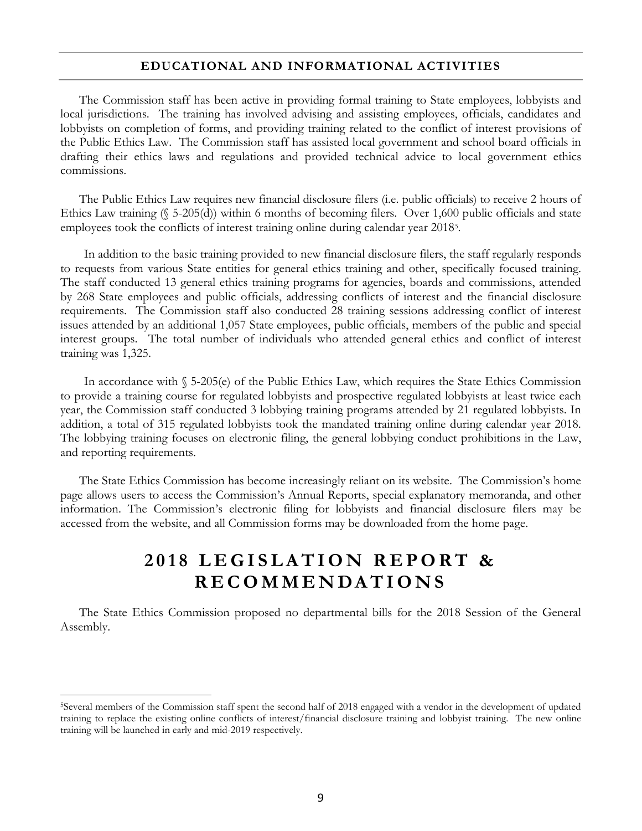#### **EDUCATIONAL AND INFORMATIONAL ACTIVITIES**

The Commission staff has been active in providing formal training to State employees, lobbyists and local jurisdictions. The training has involved advising and assisting employees, officials, candidates and lobbyists on completion of forms, and providing training related to the conflict of interest provisions of the Public Ethics Law. The Commission staff has assisted local government and school board officials in drafting their ethics laws and regulations and provided technical advice to local government ethics commissions.

The Public Ethics Law requires new financial disclosure filers (i.e. public officials) to receive 2 hours of Ethics Law training (§ 5-205(d)) within 6 months of becoming filers. Over 1,600 public officials and state employees took the conflicts of interest training online during calendar year 2018[5](#page-9-0).

In addition to the basic training provided to new financial disclosure filers, the staff regularly responds to requests from various State entities for general ethics training and other, specifically focused training. The staff conducted 13 general ethics training programs for agencies, boards and commissions, attended by 268 State employees and public officials, addressing conflicts of interest and the financial disclosure requirements. The Commission staff also conducted 28 training sessions addressing conflict of interest issues attended by an additional 1,057 State employees, public officials, members of the public and special interest groups. The total number of individuals who attended general ethics and conflict of interest training was 1,325.

In accordance with § 5-205(e) of the Public Ethics Law, which requires the State Ethics Commission to provide a training course for regulated lobbyists and prospective regulated lobbyists at least twice each year, the Commission staff conducted 3 lobbying training programs attended by 21 regulated lobbyists. In addition, a total of 315 regulated lobbyists took the mandated training online during calendar year 2018. The lobbying training focuses on electronic filing, the general lobbying conduct prohibitions in the Law, and reporting requirements.

The State Ethics Commission has become increasingly reliant on its website. The Commission's home page allows users to access the Commission's Annual Reports, special explanatory memoranda, and other information. The Commission's electronic filing for lobbyists and financial disclosure filers may be accessed from the website, and all Commission forms may be downloaded from the home page.

# **2018 LEGISLATION REPORT & RECOMMENDATI ONS**

The State Ethics Commission proposed no departmental bills for the 2018 Session of the General Assembly.

<span id="page-9-0"></span> <sup>5</sup>Several members of the Commission staff spent the second half of 2018 engaged with a vendor in the development of updated training to replace the existing online conflicts of interest/financial disclosure training and lobbyist training. The new online training will be launched in early and mid-2019 respectively.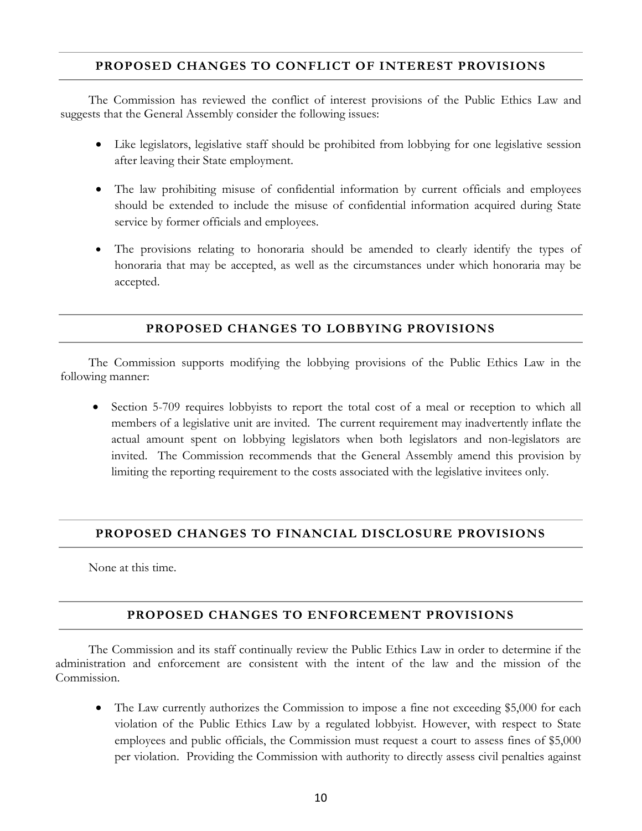## **PROPOSED CHANGES TO CONFLICT OF INTEREST PROVISIONS**

The Commission has reviewed the conflict of interest provisions of the Public Ethics Law and suggests that the General Assembly consider the following issues:

- Like legislators, legislative staff should be prohibited from lobbying for one legislative session after leaving their State employment.
- The law prohibiting misuse of confidential information by current officials and employees should be extended to include the misuse of confidential information acquired during State service by former officials and employees.
- The provisions relating to honoraria should be amended to clearly identify the types of honoraria that may be accepted, as well as the circumstances under which honoraria may be accepted.

# **PROPOSED CHANGES TO LOBBYING PROVISIONS**

The Commission supports modifying the lobbying provisions of the Public Ethics Law in the following manner:

Section 5-709 requires lobbyists to report the total cost of a meal or reception to which all members of a legislative unit are invited. The current requirement may inadvertently inflate the actual amount spent on lobbying legislators when both legislators and non-legislators are invited. The Commission recommends that the General Assembly amend this provision by limiting the reporting requirement to the costs associated with the legislative invitees only.

## **PROPOSED CHANGES TO FINANCIAL DISCLOSURE PROVISIONS**

None at this time.

## **PROPOSED CHANGES TO ENFORCEMENT PROVISIONS**

The Commission and its staff continually review the Public Ethics Law in order to determine if the administration and enforcement are consistent with the intent of the law and the mission of the Commission.

• The Law currently authorizes the Commission to impose a fine not exceeding \$5,000 for each violation of the Public Ethics Law by a regulated lobbyist. However, with respect to State employees and public officials, the Commission must request a court to assess fines of \$5,000 per violation. Providing the Commission with authority to directly assess civil penalties against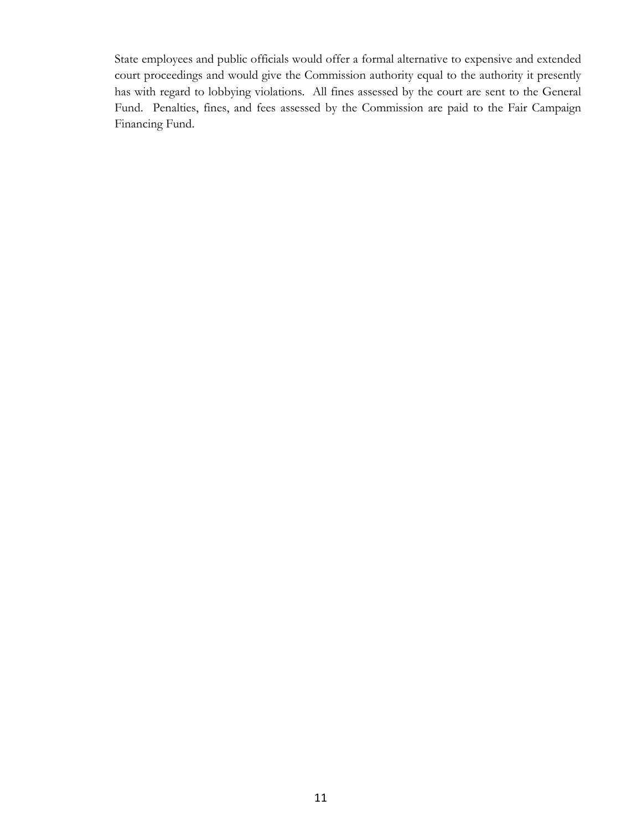State employees and public officials would offer a formal alternative to expensive and extended court proceedings and would give the Commission authority equal to the authority it presently has with regard to lobbying violations. All fines assessed by the court are sent to the General Fund. Penalties, fines, and fees assessed by the Commission are paid to the Fair Campaign Financing Fund.